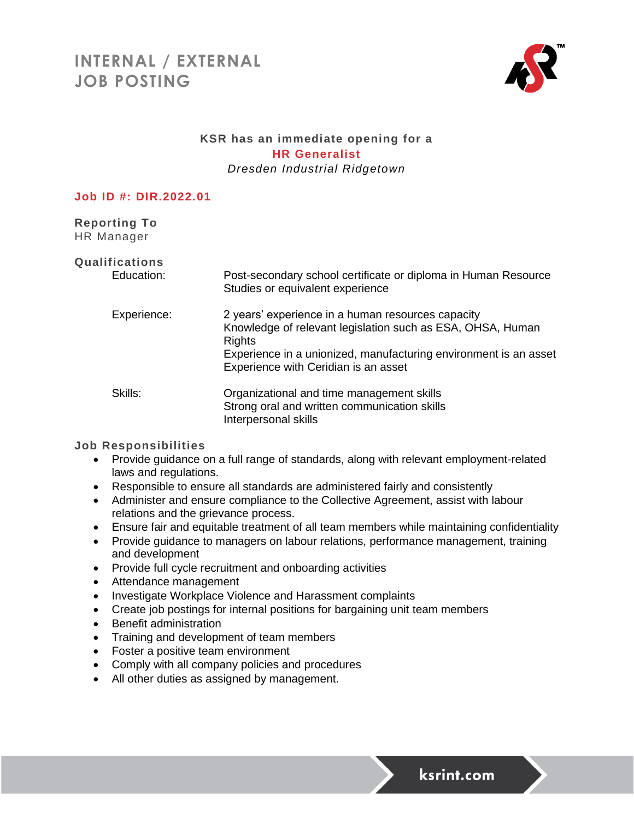# **INTERNAL / EXTERNAL JOB POSTING**



### **KSR has an immediate opening for a HR Generalist** *Dresden Industrial Ridgetown*

#### **Job ID #: DIR.2022.01**

**Reporting To** HR Manager

| <b>Qualifications</b><br>Education: | Post-secondary school certificate or diploma in Human Resource<br>Studies or equivalent experience                                                                                                                                           |
|-------------------------------------|----------------------------------------------------------------------------------------------------------------------------------------------------------------------------------------------------------------------------------------------|
| Experience:                         | 2 years' experience in a human resources capacity<br>Knowledge of relevant legislation such as ESA, OHSA, Human<br><b>Rights</b><br>Experience in a unionized, manufacturing environment is an asset<br>Experience with Ceridian is an asset |
| Skills:                             | Organizational and time management skills<br>Strong oral and written communication skills<br>Interpersonal skills                                                                                                                            |

#### **Job Responsibilities**

- Provide guidance on a full range of standards, along with relevant employment-related laws and regulations.
- Responsible to ensure all standards are administered fairly and consistently
- Administer and ensure compliance to the Collective Agreement, assist with labour relations and the grievance process.
- Ensure fair and equitable treatment of all team members while maintaining confidentiality
- Provide guidance to managers on labour relations, performance management, training and development
- Provide full cycle recruitment and onboarding activities
- Attendance management
- Investigate Workplace Violence and Harassment complaints
- Create job postings for internal positions for bargaining unit team members
- Benefit administration
- Training and development of team members
- Foster a positive team environment
- Comply with all company policies and procedures
- All other duties as assigned by management.